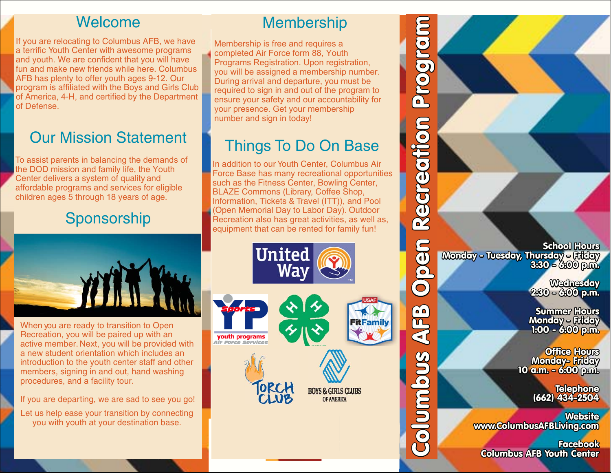#### Welcome

 If you are relocating to Columbus AFB, we have a terrific Youth Center with awesome programs and youth. We are confident that you will have fun and make new friends while here. Columbus AFB has plenty to offer youth ages 9-12. Our program is affiliated with the Boys and Girls Club of America, 4-H, and certified by the Department of Defense.

## Our Mission Statement

To assist parents in balancing the demands of the DOD mission and family life, the Youth Center delivers a system of quality and affordable programs and services for eligible children ages 5 through 18 years of age.

## Sponsorship



When you are ready to transition to Open Recreation, you will be paired up with an active member. Next, you will be provided with a new student orientation which includes an introduction to the youth center staff and other members, signing in and out, hand washing procedures, and a facility tour.

If you are departing, we are sad to see you go!

Let us help ease your transition by connecting you with youth at your destination base.

### **Membership**

Membership is free and requires a completed Air Force form 88, Youth Programs Registration. Upon registration, you will be assigned a membership number. During arrival and departure, you must be required to sign in and out of the program to ensure your safety and our accountability for your presence. Get your membership number and sign in today!

## Things To Do On Base

 In addition to our Youth Center, Columbus Air Force Base has many recreational opportunities such as the Fitness Center, Bowling Center, BLAZE Commons (Library, Coffee Shop, Information, Tickets & Travel (ITT)), and Pool (Open Memorial Day to Labor Day). Outdoor Recreation also has great activities, as well as, equipment that can be rented for family fun!